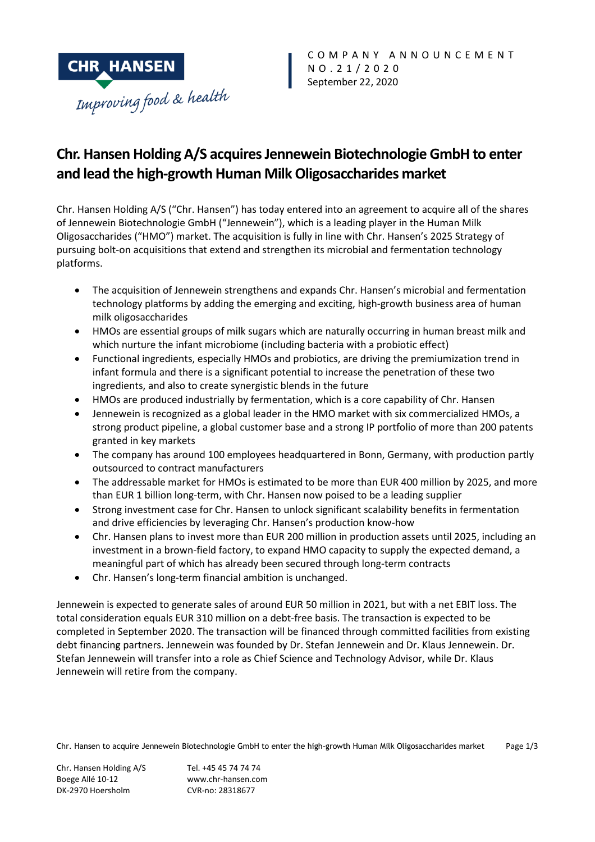

# **Chr. Hansen Holding A/S acquires Jennewein Biotechnologie GmbH to enter and lead the high-growth Human Milk Oligosaccharides market**

Chr. Hansen Holding A/S ("Chr. Hansen") has today entered into an agreement to acquire all of the shares of Jennewein Biotechnologie GmbH ("Jennewein"), which is a leading player in the Human Milk Oligosaccharides ("HMO") market. The acquisition is fully in line with Chr. Hansen's 2025 Strategy of pursuing bolt-on acquisitions that extend and strengthen its microbial and fermentation technology platforms.

- The acquisition of Jennewein strengthens and expands Chr. Hansen's microbial and fermentation technology platforms by adding the emerging and exciting, high-growth business area of human milk oligosaccharides
- HMOs are essential groups of milk sugars which are naturally occurring in human breast milk and which nurture the infant microbiome (including bacteria with a probiotic effect)
- Functional ingredients, especially HMOs and probiotics, are driving the premiumization trend in infant formula and there is a significant potential to increase the penetration of these two ingredients, and also to create synergistic blends in the future
- HMOs are produced industrially by fermentation, which is a core capability of Chr. Hansen
- Jennewein is recognized as a global leader in the HMO market with six commercialized HMOs, a strong product pipeline, a global customer base and a strong IP portfolio of more than 200 patents granted in key markets
- The company has around 100 employees headquartered in Bonn, Germany, with production partly outsourced to contract manufacturers
- The addressable market for HMOs is estimated to be more than EUR 400 million by 2025, and more than EUR 1 billion long-term, with Chr. Hansen now poised to be a leading supplier
- Strong investment case for Chr. Hansen to unlock significant scalability benefits in fermentation and drive efficiencies by leveraging Chr. Hansen's production know-how
- Chr. Hansen plans to invest more than EUR 200 million in production assets until 2025, including an investment in a brown-field factory, to expand HMO capacity to supply the expected demand, a meaningful part of which has already been secured through long-term contracts
- Chr. Hansen's long-term financial ambition is unchanged.

Jennewein is expected to generate sales of around EUR 50 million in 2021, but with a net EBIT loss. The total consideration equals EUR 310 million on a debt-free basis. The transaction is expected to be completed in September 2020. The transaction will be financed through committed facilities from existing debt financing partners. Jennewein was founded by Dr. Stefan Jennewein and Dr. Klaus Jennewein. Dr. Stefan Jennewein will transfer into a role as Chief Science and Technology Advisor, while Dr. Klaus Jennewein will retire from the company.

Chr. Hansen to acquire Jennewein Biotechnologie GmbH to enter the high-growth Human Milk Oligosaccharides market Page 1/3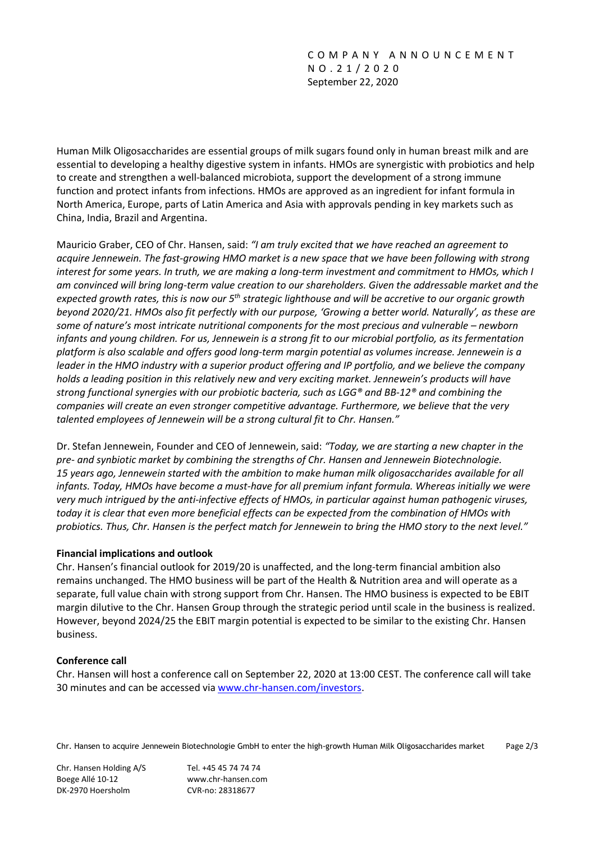Human Milk Oligosaccharides are essential groups of milk sugars found only in human breast milk and are essential to developing a healthy digestive system in infants. HMOs are synergistic with probiotics and help to create and strengthen a well-balanced microbiota, support the development of a strong immune function and protect infants from infections. HMOs are approved as an ingredient for infant formula in North America, Europe, parts of Latin America and Asia with approvals pending in key markets such as China, India, Brazil and Argentina.

Mauricio Graber, CEO of Chr. Hansen, said: *"I am truly excited that we have reached an agreement to acquire Jennewein. The fast-growing HMO market is a new space that we have been following with strong interest for some years. In truth, we are making a long-term investment and commitment to HMOs, which I am convinced will bring long-term value creation to our shareholders. Given the addressable market and the expected growth rates, this is now our 5th strategic lighthouse and will be accretive to our organic growth beyond 2020/21. HMOs also fit perfectly with our purpose, 'Growing a better world. Naturally', as these are some of nature's most intricate nutritional components for the most precious and vulnerable – newborn infants and young children. For us, Jennewein is a strong fit to our microbial portfolio, as its fermentation platform is also scalable and offers good long-term margin potential as volumes increase. Jennewein is a leader in the HMO industry with a superior product offering and IP portfolio, and we believe the company holds a leading position in this relatively new and very exciting market. Jennewein's products will have strong functional synergies with our probiotic bacteria, such as LGG® and BB-12® and combining the companies will create an even stronger competitive advantage. Furthermore, we believe that the very talented employees of Jennewein will be a strong cultural fit to Chr. Hansen."*

Dr. Stefan Jennewein, Founder and CEO of Jennewein, said: *"Today, we are starting a new chapter in the pre- and synbiotic market by combining the strengths of Chr. Hansen and Jennewein Biotechnologie. 15 years ago, Jennewein started with the ambition to make human milk oligosaccharides available for all infants. Today, HMOs have become a must-have for all premium infant formula. Whereas initially we were very much intrigued by the anti-infective effects of HMOs, in particular against human pathogenic viruses, today it is clear that even more beneficial effects can be expected from the combination of HMOs with probiotics. Thus, Chr. Hansen is the perfect match for Jennewein to bring the HMO story to the next level."*

# **Financial implications and outlook**

Chr. Hansen's financial outlook for 2019/20 is unaffected, and the long-term financial ambition also remains unchanged. The HMO business will be part of the Health & Nutrition area and will operate as a separate, full value chain with strong support from Chr. Hansen. The HMO business is expected to be EBIT margin dilutive to the Chr. Hansen Group through the strategic period until scale in the business is realized. However, beyond 2024/25 the EBIT margin potential is expected to be similar to the existing Chr. Hansen business.

# **Conference call**

Chr. Hansen will host a conference call on September 22, 2020 at 13:00 CEST. The conference call will take 30 minutes and can be accessed via [www.chr-hansen.com/investors.](http://www.chr%E2%80%90hansen.com/investors)

Chr. Hansen to acquire Jennewein Biotechnologie GmbH to enter the high-growth Human Milk Oligosaccharides market Page 2/3

Chr. Hansen Holding A/S Tel. +45 45 74 74 74 Boege Allé 10-12 www.chr-hansen.com DK-2970 Hoersholm CVR-no: 28318677